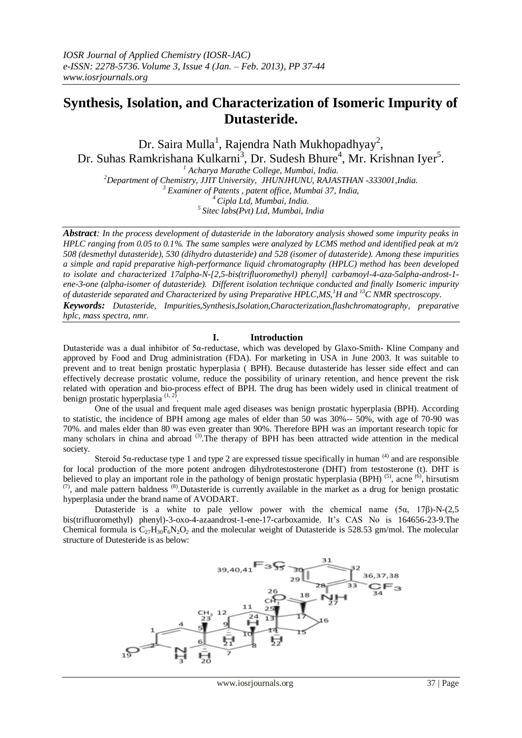# **Synthesis, Isolation, and Characterization of Isomeric Impurity of Dutasteride.**

Dr. Saira Mulla<sup>1</sup>, Rajendra Nath Mukhopadhyay<sup>2</sup>, Dr. Suhas Ramkrishana Kulkarni<sup>3</sup>, Dr. Sudesh Bhure<sup>4</sup>, Mr. Krishnan Iyer<sup>5</sup>.

 *Acharya Marathe College, Mumbai, India. Department of Chemistry, JJIT University, JHUNJHUNU, RAJASTHAN -333001,India. Examiner of Patents , patent office, Mumbai 37, India, Cipla Ltd, Mumbai, India. Sitec labs(Pvt) Ltd, Mumbai, India*

*Abstract: In the process development of dutasteride in the laboratory analysis showed some impurity peaks in HPLC ranging from 0.05 to 0.1%. The same samples were analyzed by LCMS method and identified peak at m/z 508 (desmethyl dutasteride), 530 (dihydro dutasteride) and 528 (isomer of dutasteride). Among these impurities a simple and rapid preparative high-performance liquid chromatography (HPLC) method has been developed to isolate and characterized 17alpha-N-[2,5-bis(trifluoromethyl) phenyl] carbamoyl-4-aza-5alpha-androst-1 ene-3-one (alpha-isomer of dutasteride). Different isolation technique conducted and finally Isomeric impurity of dutasteride separated and Characterized by using Preparative HPLC,MS,<sup>1</sup>H and <sup>13</sup>C NMR spectroscopy. Keywords: Dutasteride, Impurities,Synthesis,Isolation,Characterization,flashchromatography, preparative* 

*hplc, mass spectra, nmr.*

#### **I. Introduction**

Dutasteride was a dual inhibitor of 5α-reductase, which was developed by Glaxo-Smith- Kline Company and approved by Food and Drug administration (FDA). For marketing in USA in June 2003. It was suitable to prevent and to treat benign prostatic hyperplasia ( BPH). Because dutasteride has lesser side effect and can effectively decrease prostatic volume, reduce the possibility of urinary retention, and hence prevent the risk related with operation and bio-process effect of BPH. The drug has been widely used in clinical treatment of benign prostatic hyperplasia  $(1, 2)$ .

One of the usual and frequent male aged diseases was benign prostatic hyperplasia (BPH). According to statistic, the incidence of BPH among age males of elder than 50 was 30%-- 50%, with age of 70-90 was 70%. and males elder than 80 was even greater than 90%. Therefore BPH was an important research topic for many scholars in china and abroad <sup>(3)</sup>. The therapy of BPH has been attracted wide attention in the medical society.

Steroid 5α-reductase type 1 and type 2 are expressed tissue specifically in human  $(4)$  and are responsible for local production of the more potent androgen dihydrotestosterone (DHT) from testosterone (t). DHT is believed to play an important role in the pathology of benign prostatic hyperplasia (BPH)  $^{(5)}$ , acne  $^{(6)}$ , hirsutism  $(7)$ , and male pattern baldness  $(8)$ . Dutasteride is currently available in the market as a drug for benign prostatic hyperplasia under the brand name of AVODART.

Dutasteride is a white to pale yellow power with the chemical name  $(5\alpha, 17\beta)$ -N- $(2,5\alpha)$ bis(trifluoromethyl) phenyl)-3-oxo-4-azaandrost-1-ene-17-carboxamide. It's CAS No is 164656-23-9.The Chemical formula is  $C_{27}H_{30}F_6N_2O_2$  and the molecular weight of Dutasteride is 528.53 gm/mol. The molecular structure of Dutesteride is as below:

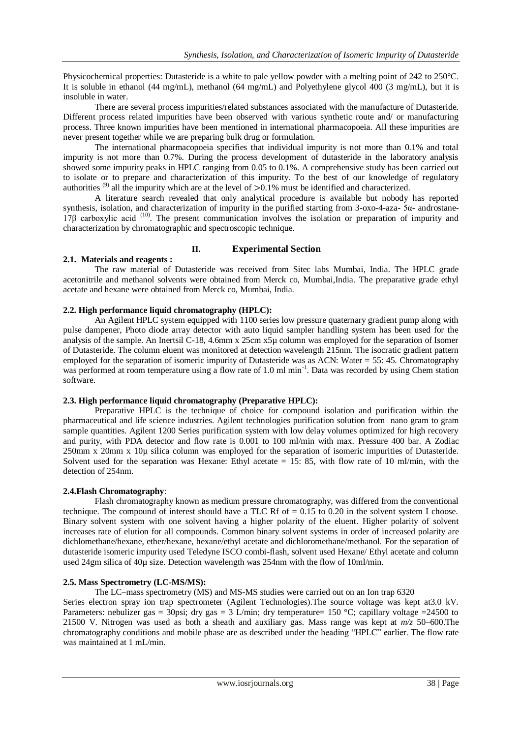Physicochemical properties: Dutasteride is a white to pale yellow powder with a melting point of 242 to 250°C. It is soluble in ethanol (44 mg/mL), methanol (64 mg/mL) and Polyethylene glycol 400 (3 mg/mL), but it is insoluble in water.

There are several process impurities/related substances associated with the manufacture of Dutasteride. Different process related impurities have been observed with various synthetic route and/ or manufacturing process. Three known impurities have been mentioned in international pharmacopoeia. All these impurities are never present together while we are preparing bulk drug or formulation.

The international pharmacopoeia specifies that individual impurity is not more than 0.1% and total impurity is not more than 0.7%. During the process development of dutasteride in the laboratory analysis showed some impurity peaks in HPLC ranging from 0.05 to 0.1%. A comprehensive study has been carried out to isolate or to prepare and characterization of this impurity. To the best of our knowledge of regulatory authorities <sup>(9)</sup> all the impurity which are at the level of  $> 0.1\%$  must be identified and characterized.

A literature search revealed that only analytical procedure is available but nobody has reported synthesis, isolation, and characterization of impurity in the purified starting from 3-oxo-4-aza- 5α- androstane-17β carboxylic acid (10) . The present communication involves the isolation or preparation of impurity and characterization by chromatographic and spectroscopic technique.

## **II. Experimental Section**

## **2.1. Materials and reagents :**

The raw material of Dutasteride was received from Sitec labs Mumbai, India. The HPLC grade acetonitrile and methanol solvents were obtained from Merck co, Mumbai,India. The preparative grade ethyl acetate and hexane were obtained from Merck co, Mumbai, India.

## **2.2. High performance liquid chromatography (HPLC):**

An Agilent HPLC system equipped with 1100 series low pressure quaternary gradient pump along with pulse dampener, Photo diode array detector with auto liquid sampler handling system has been used for the analysis of the sample. An Inertsil C-18, 4.6mm x 25cm x5µ column was employed for the separation of Isomer of Dutasteride. The column eluent was monitored at detection wavelength 215nm. The isocratic gradient pattern employed for the separation of isomeric impurity of Dutasteride was as ACN: Water = 55: 45. Chromatography was performed at room temperature using a flow rate of 1.0 ml min<sup>-1</sup>. Data was recorded by using Chem station software.

#### **2.3. High performance liquid chromatography (Preparative HPLC):**

Preparative HPLC is the technique of choice for compound isolation and purification within the pharmaceutical and life science industries. Agilent technologies purification solution from nano gram to gram sample quantities. Agilent 1200 Series purification system with low delay volumes optimized for high recovery and purity, with PDA detector and flow rate is 0.001 to 100 ml/min with max. Pressure 400 bar. A Zodiac 250mm x 20mm x 10µ silica column was employed for the separation of isomeric impurities of Dutasteride. Solvent used for the separation was Hexane: Ethyl acetate  $= 15: 85$ , with flow rate of 10 ml/min, with the detection of 254nm.

#### **2.4.Flash Chromatography**:

Flash chromatography known as medium pressure chromatography, was differed from the conventional technique. The compound of interest should have a TLC Rf of  $= 0.15$  to 0.20 in the solvent system I choose. Binary solvent system with one solvent having a higher polarity of the eluent. Higher polarity of solvent increases rate of elution for all compounds. Common binary solvent systems in order of increased polarity are dichlomethane/hexane, ether/hexane, hexane/ethyl acetate and dichloromethane/methanol. For the separation of dutasteride isomeric impurity used Teledyne ISCO combi-flash, solvent used Hexane/ Ethyl acetate and column used 24gm silica of 40µ size. Detection wavelength was 254nm with the flow of 10ml/min.

## **2.5. Mass Spectrometry (LC-MS/MS):**

The LC–mass spectrometry (MS) and MS-MS studies were carried out on an Ion trap 6320

Series electron spray ion trap spectrometer (Agilent Technologies).The source voltage was kept at3.0 kV. Parameters: nebulizer gas = 30psi; dry gas = 3 L/min; dry temperature= 150 °C; capillary voltage = 24500 to 21500 V. Nitrogen was used as both a sheath and auxiliary gas. Mass range was kept at *m/z* 50–600.The chromatography conditions and mobile phase are as described under the heading "HPLC" earlier. The flow rate was maintained at 1 mL/min.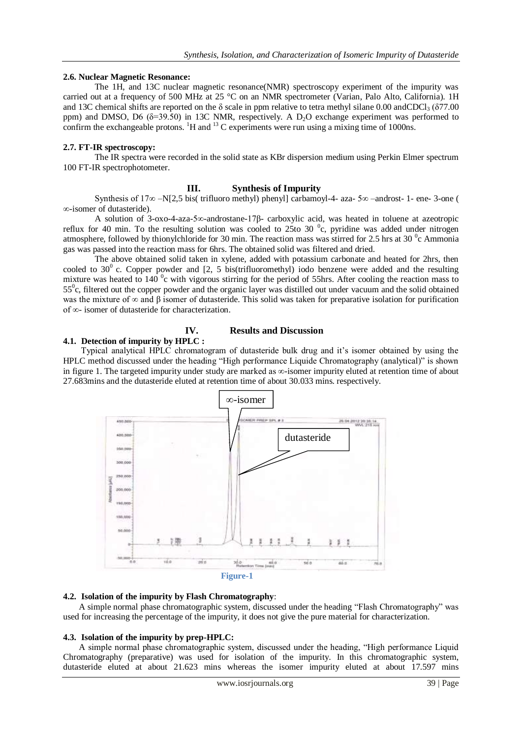## **2.6. Nuclear Magnetic Resonance:**

The 1H, and 13C nuclear magnetic resonance(NMR) spectroscopy experiment of the impurity was carried out at a frequency of 500 MHz at 25 °C on an NMR spectrometer (Varian, Palo Alto, California). 1H and 13C chemical shifts are reported on the  $\delta$  scale in ppm relative to tetra methyl silane 0.00 andCDCl<sub>3</sub> ( $\delta$ 77.00) ppm) and DMSO, D6 ( $\delta$ =39.50) in 13C NMR, respectively. A D<sub>2</sub>O exchange experiment was performed to confirm the exchangeable protons.  ${}^{1}H$  and  ${}^{13}C$  experiments were run using a mixing time of 1000ns.

#### **2.7. FT-IR spectroscopy:**

The IR spectra were recorded in the solid state as KBr dispersion medium using Perkin Elmer spectrum 100 FT-IR spectrophotometer.

## **III. Synthesis of Impurity**

Synthesis of 17∞ –N[2,5 bis( trifluoro methyl) phenyl] carbamoyl-4- aza- 5∞ –androst- 1- ene- 3-one ( ∞-isomer of dutasteride).

A solution of 3-oxo-4-aza-5∞-androstane-17β- carboxylic acid, was heated in toluene at azeotropic reflux for 40 min. To the resulting solution was cooled to 25to 30  $^{\circ}$ c, pyridine was added under nitrogen atmosphere, followed by thionylchloride for 30 min. The reaction mass was stirred for 2.5 hrs at 30 $\degree$ c Ammonia gas was passed into the reaction mass for 6hrs. The obtained solid was filtered and dried.

The above obtained solid taken in xylene, added with potassium carbonate and heated for 2hrs, then cooled to 30<sup>0</sup> c. Copper powder and [2, 5 bis(trifluoromethyl) iodo benzene were added and the resulting mixture was heated to 140  $\degree$ c with vigorous stirring for the period of 55hrs. After cooling the reaction mass to 55<sup>o</sup>c, filtered out the copper powder and the organic layer was distilled out under vacuum and the solid obtained was the mixture of  $\infty$  and  $\beta$  isomer of dutasteride. This solid was taken for preparative isolation for purification of ∞- isomer of dutasteride for characterization.

#### **4.1. Detection of impurity by HPLC :**

# **IV. Results and Discussion**

Typical analytical HPLC chromatogram of dutasteride bulk drug and it's isomer obtained by using the HPLC method discussed under the heading "High performance Liquide Chromatography (analytical)" is shown in figure 1. The targeted impurity under study are marked as ∞-isomer impurity eluted at retention time of about 27.683mins and the dutasteride eluted at retention time of about 30.033 mins. respectively.



#### **4.2. Isolation of the impurity by Flash Chromatography**:

A simple normal phase chromatographic system, discussed under the heading "Flash Chromatography" was used for increasing the percentage of the impurity, it does not give the pure material for characterization.

#### **4.3. Isolation of the impurity by prep-HPLC:**

A simple normal phase chromatographic system, discussed under the heading, "High performance Liquid Chromatography (preparative) was used for isolation of the impurity. In this chromatographic system, dutasteride eluted at about 21.623 mins whereas the isomer impurity eluted at about 17.597 mins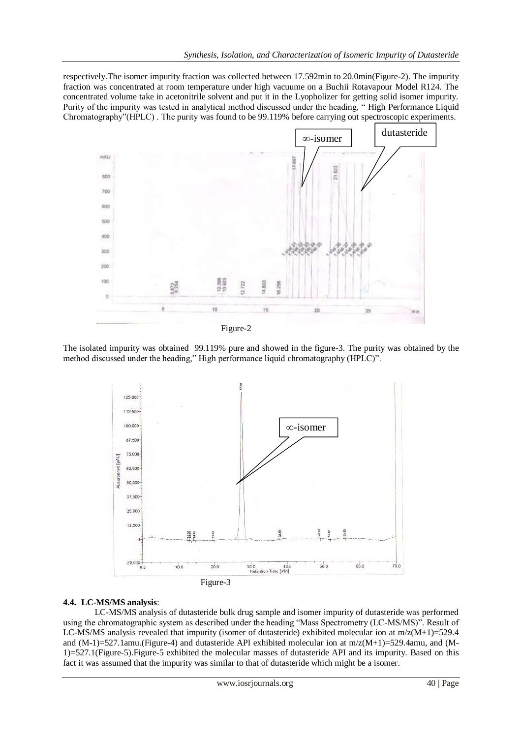respectively.The isomer impurity fraction was collected between 17.592min to 20.0min(Figure-2). The impurity fraction was concentrated at room temperature under high vacuume on a Buchii Rotavapour Model R124. The concentrated volume take in acetonitrile solvent and put it in the Lyopholizer for getting solid isomer impurity. Purity of the impurity was tested in analytical method discussed under the heading, " High Performance Liquid Chromatography"(HPLC) . The purity was found to be 99.119% before carrying out spectroscopic experiments.



Figure-2

The isolated impurity was obtained 99.119% pure and showed in the figure-3. The purity was obtained by the method discussed under the heading," High performance liquid chromatography (HPLC)".



# **4.4. LC-MS/MS analysis**:

LC-MS/MS analysis of dutasteride bulk drug sample and isomer impurity of dutasteride was performed using the chromatographic system as described under the heading "Mass Spectrometry (LC-MS/MS)". Result of LC-MS/MS analysis revealed that impurity (isomer of dutasteride) exhibited molecular ion at  $m/z(M+1)=529.4$ and (M-1)=527.1amu.(Figure-4) and dutasteride API exhibited molecular ion at m/z(M+1)=529.4amu, and (M-1)=527.1(Figure-5).Figure-5 exhibited the molecular masses of dutasteride API and its impurity. Based on this fact it was assumed that the impurity was similar to that of dutasteride which might be a isomer.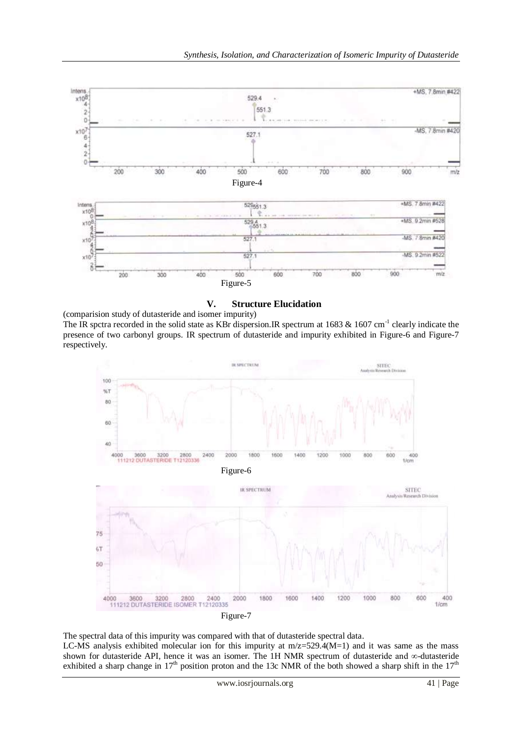

**V. Structure Elucidation**

(comparision study of dutasteride and isomer impurity) The IR spctra recorded in the solid state as KBr dispersion. IR spectrum at 1683  $&$  1607 cm<sup>-1</sup> clearly indicate the presence of two carbonyl groups. IR spectrum of dutasteride and impurity exhibited in Figure-6 and Figure-7 respectively.



The spectral data of this impurity was compared with that of dutasteride spectral data. LC-MS analysis exhibited molecular ion for this impurity at m/z=529.4(M=1) and it was same as the mass shown for dutasteride API, hence it was an isomer. The 1H NMR spectrum of dutasteride and ∞-dutasteride exhibited a sharp change in  $17<sup>th</sup>$  position proton and the 13c NMR of the both showed a sharp shift in the  $17<sup>th</sup>$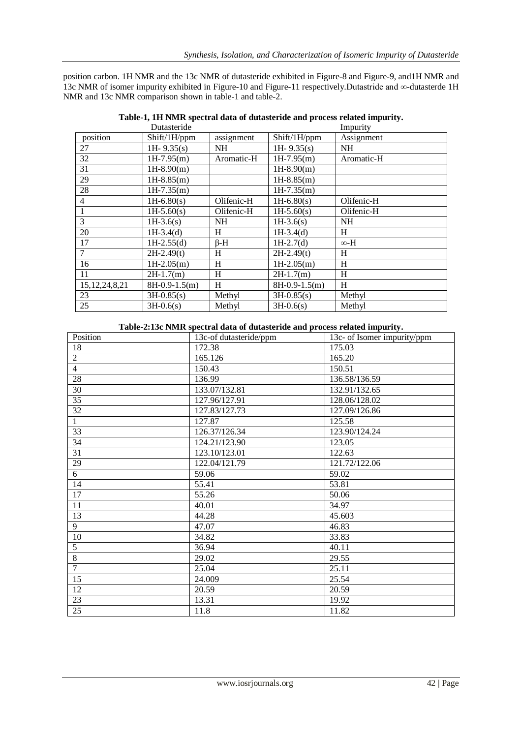position carbon. 1H NMR and the 13c NMR of dutasteride exhibited in Figure-8 and Figure-9, and1H NMR and 13c NMR of isomer impurity exhibited in Figure-10 and Figure-11 respectively.Dutastride and ∞-dutasterde 1H NMR and 13c NMR comparison shown in table-1 and table-2.

|                   | Dutasteride     |            |                 | Impurity    |
|-------------------|-----------------|------------|-----------------|-------------|
| position          | Shift/1H/ppm    | assignment | Shift/1H/ppm    | Assignment  |
| 27                | 1H $-9.35(s)$   | <b>NH</b>  | 1H $-9.35(s)$   | <b>NH</b>   |
| 32                | $1H-7.95(m)$    | Aromatic-H | $1H-7.95(m)$    | Aromatic-H  |
| 31                | $1H-8.90(m)$    |            | $1H-8.90(m)$    |             |
| 29                | $1H-8.85(m)$    |            | $1H-8.85(m)$    |             |
| 28                | $1H-7.35(m)$    |            | $1H-7.35(m)$    |             |
| $\overline{4}$    | $1H-6.80(s)$    | Olifenic-H | $1H-6.80(s)$    | Olifenic-H  |
| 1                 | $1H-5.60(s)$    | Olifenic-H | $1H-5.60(s)$    | Olifenic-H  |
| 3                 | $1H-3.6(s)$     | <b>NH</b>  | $1H-3.6(s)$     | <b>NH</b>   |
| 20                | $1H-3.4(d)$     | H          | $1H-3.4(d)$     | H           |
| 17                | $1H-2.55(d)$    | $\beta$ -H | $1H-2.7(d)$     | $\infty$ -H |
| 7                 | $2H-2.49(t)$    | H          | $2H-2.49(t)$    | H           |
| 16                | $1H-2.05(m)$    | H          | $1H-2.05(m)$    | H           |
| 11                | $2H-1.7(m)$     | H          | $2H-1.7(m)$     | H           |
| 15, 12, 24, 8, 21 | $8H-0.9-1.5(m)$ | H          | $8H-0.9-1.5(m)$ | H           |
| 23                | $3H-0.85(s)$    | Methyl     | $3H-0.85(s)$    | Methyl      |
| 25                | $3H-0.6(s)$     | Methyl     | $3H-0.6(s)$     | Methyl      |

**Table-1, 1H NMR spectral data of dutasteride and process related impurity.**

#### **Table-2:13c NMR spectral data of dutasteride and process related impurity.**

| Position        | 13c-of dutasteride/ppm | 13c- of Isomer impurity/ppm |
|-----------------|------------------------|-----------------------------|
| 18              | 172.38                 | 175.03                      |
| $\overline{2}$  | 165.126                | 165.20                      |
| $\overline{4}$  | 150.43                 | 150.51                      |
| 28              | 136.99                 | 136.58/136.59               |
| 30              | 133.07/132.81          | 132.91/132.65               |
| 35              | 127.96/127.91          | 128.06/128.02               |
| 32              | 127.83/127.73          | 127.09/126.86               |
| $\mathbf{1}$    | 127.87                 | 125.58                      |
| 33              | 126.37/126.34          | 123.90/124.24               |
| 34              | 124.21/123.90          | 123.05                      |
| $\overline{31}$ | 123.10/123.01          | 122.63                      |
| 29              | 122.04/121.79          | 121.72/122.06               |
| 6               | 59.06                  | 59.02                       |
| 14              | 55.41                  | 53.81                       |
| 17              | 55.26                  | 50.06                       |
| 11              | 40.01                  | 34.97                       |
| 13              | 44.28                  | 45.603                      |
| 9               | 47.07                  | 46.83                       |
| $10\,$          | 34.82                  | 33.83                       |
| 5               | 36.94                  | 40.11                       |
| 8               | 29.02                  | 29.55                       |
| $\overline{7}$  | 25.04                  | 25.11                       |
| 15              | 24.009                 | 25.54                       |
| 12              | 20.59                  | 20.59                       |
| 23              | 13.31                  | 19.92                       |
| $\overline{25}$ | 11.8                   | 11.82                       |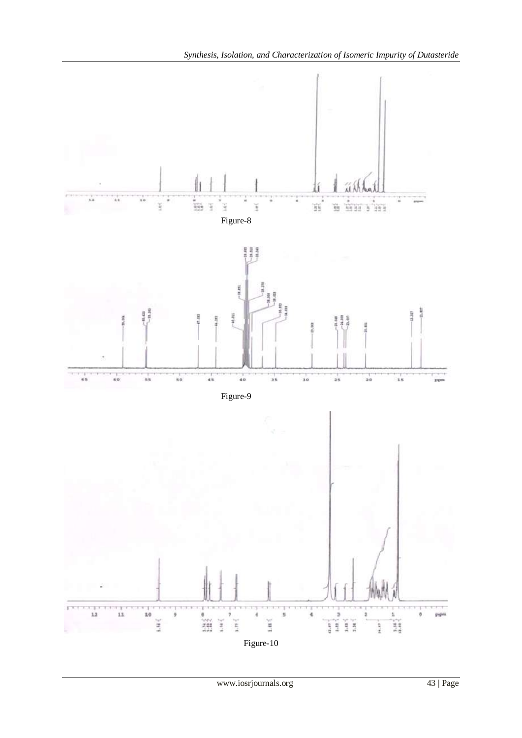